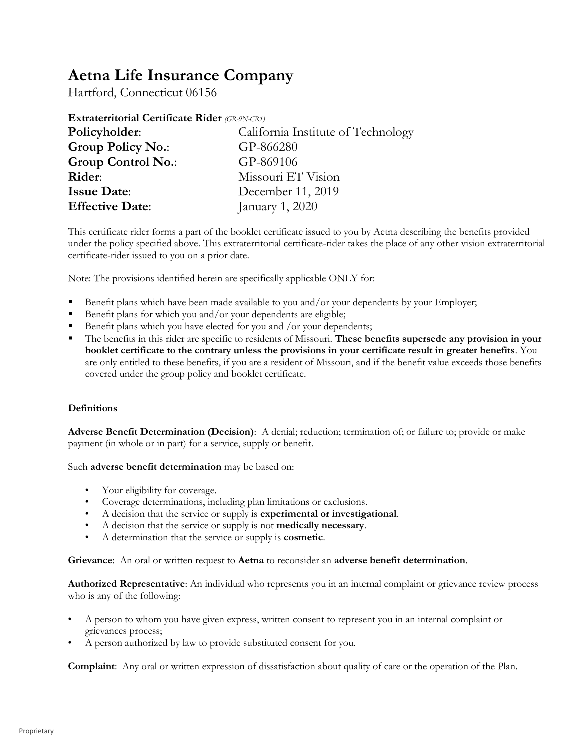# **Aetna Life Insurance Company**

Hartford, Connecticut 06156

| Extraterritorial Certificate Rider (GR-9N-CR1) |                                    |  |
|------------------------------------------------|------------------------------------|--|
| Policyholder:                                  | California Institute of Technology |  |
| <b>Group Policy No.:</b>                       | GP-866280                          |  |
| <b>Group Control No.:</b>                      | GP-869106                          |  |
| Rider:                                         | Missouri ET Vision                 |  |
| <b>Issue Date:</b>                             | December 11, 2019                  |  |
| <b>Effective Date:</b>                         | January 1, 2020                    |  |

This certificate rider forms a part of the booklet certificate issued to you by Aetna describing the benefits provided under the policy specified above. This extraterritorial certificate-rider takes the place of any other vision extraterritorial certificate-rider issued to you on a prior date.

Note: The provisions identified herein are specifically applicable ONLY for:

- Benefit plans which have been made available to you and/or your dependents by your Employer;
- Benefit plans for which you and/or your dependents are eligible;
- Benefit plans which you have elected for you and /or your dependents;
- The benefits in this rider are specific to residents of Missouri. **These benefits supersede any provision in your booklet certificate to the contrary unless the provisions in your certificate result in greater benefits**. You are only entitled to these benefits, if you are a resident of Missouri, and if the benefit value exceeds those benefits covered under the group policy and booklet certificate.

## **Definitions**

**Adverse Benefit Determination (Decision)**: A denial; reduction; termination of; or failure to; provide or make payment (in whole or in part) for a service, supply or benefit.

Such **adverse benefit determination** may be based on:

- Your eligibility for coverage.
- Coverage determinations, including plan limitations or exclusions.
- A decision that the service or supply is **experimental or investigational**.
- A decision that the service or supply is not **medically necessary**.
- A determination that the service or supply is **cosmetic**.

**Grievance**: An oral or written request to **Aetna** to reconsider an **adverse benefit determination**.

**Authorized Representative**: An individual who represents you in an internal complaint or grievance review process who is any of the following:

- A person to whom you have given express, written consent to represent you in an internal complaint or grievances process;
- A person authorized by law to provide substituted consent for you.

**Complaint**: Any oral or written expression of dissatisfaction about quality of care or the operation of the Plan.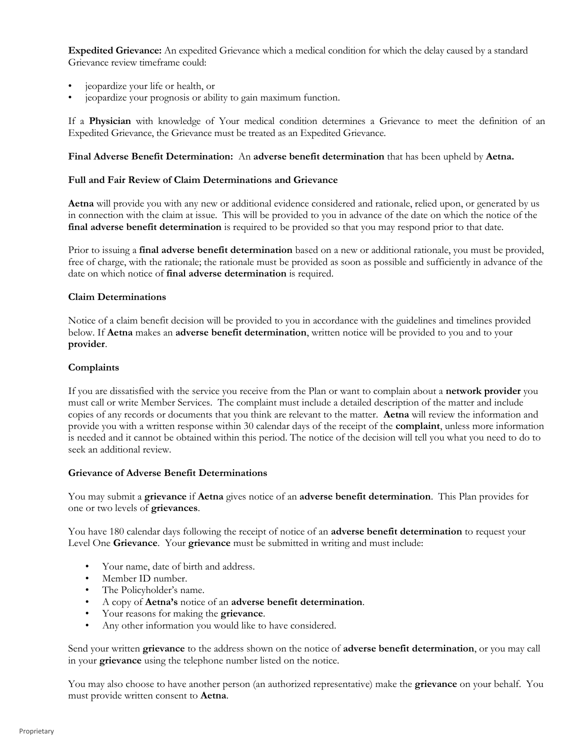**Expedited Grievance:** An expedited Grievance which a medical condition for which the delay caused by a standard Grievance review timeframe could:

- jeopardize your life or health, or
- jeopardize your prognosis or ability to gain maximum function.

If a **Physician** with knowledge of Your medical condition determines a Grievance to meet the definition of an Expedited Grievance, the Grievance must be treated as an Expedited Grievance.

#### **Final Adverse Benefit Determination:** An **adverse benefit determination** that has been upheld by **Aetna.**

#### **Full and Fair Review of Claim Determinations and Grievance**

**Aetna** will provide you with any new or additional evidence considered and rationale, relied upon, or generated by us in connection with the claim at issue. This will be provided to you in advance of the date on which the notice of the **final adverse benefit determination** is required to be provided so that you may respond prior to that date.

Prior to issuing a **final adverse benefit determination** based on a new or additional rationale, you must be provided, free of charge, with the rationale; the rationale must be provided as soon as possible and sufficiently in advance of the date on which notice of **final adverse determination** is required.

#### **Claim Determinations**

Notice of a claim benefit decision will be provided to you in accordance with the guidelines and timelines provided below. If **Aetna** makes an **adverse benefit determination**, written notice will be provided to you and to your **provider**.

#### **Complaints**

If you are dissatisfied with the service you receive from the Plan or want to complain about a **network provider** you must call or write Member Services. The complaint must include a detailed description of the matter and include copies of any records or documents that you think are relevant to the matter. **Aetna** will review the information and provide you with a written response within 30 calendar days of the receipt of the **complaint**, unless more information is needed and it cannot be obtained within this period. The notice of the decision will tell you what you need to do to seek an additional review.

#### **Grievance of Adverse Benefit Determinations**

You may submit a **grievance** if **Aetna** gives notice of an **adverse benefit determination**. This Plan provides for one or two levels of **grievances**.

You have 180 calendar days following the receipt of notice of an **adverse benefit determination** to request your Level One **Grievance**. Your **grievance** must be submitted in writing and must include:

- Your name, date of birth and address.
- Member ID number.
- The Policyholder's name.
- A copy of **Aetna's** notice of an **adverse benefit determination**.
- Your reasons for making the **grievance**.
- Any other information you would like to have considered.

Send your written **grievance** to the address shown on the notice of **adverse benefit determination**, or you may call in your **grievance** using the telephone number listed on the notice.

You may also choose to have another person (an authorized representative) make the **grievance** on your behalf. You must provide written consent to **Aetna**.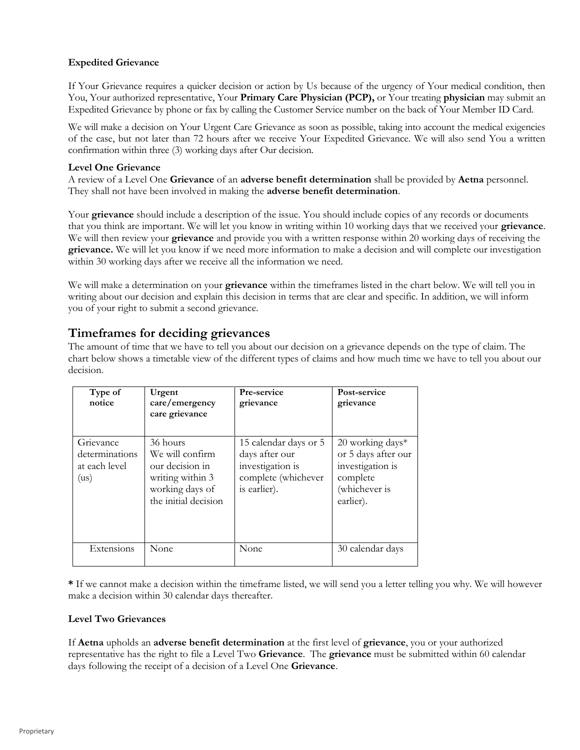### **Expedited Grievance**

If Your Grievance requires a quicker decision or action by Us because of the urgency of Your medical condition, then You, Your authorized representative, Your **Primary Care Physician (PCP),** or Your treating **physician** may submit an Expedited Grievance by phone or fax by calling the Customer Service number on the back of Your Member ID Card.

We will make a decision on Your Urgent Care Grievance as soon as possible, taking into account the medical exigencies of the case, but not later than 72 hours after we receive Your Expedited Grievance. We will also send You a written confirmation within three (3) working days after Our decision.

#### **Level One Grievance**

A review of a Level One **Grievance** of an **adverse benefit determination** shall be provided by **Aetna** personnel. They shall not have been involved in making the **adverse benefit determination**.

Your **grievance** should include a description of the issue. You should include copies of any records or documents that you think are important. We will let you know in writing within 10 working days that we received your **grievance**. We will then review your **grievance** and provide you with a written response within 20 working days of receiving the **grievance.** We will let you know if we need more information to make a decision and will complete our investigation within 30 working days after we receive all the information we need.

We will make a determination on your **grievance** within the timeframes listed in the chart below. We will tell you in writing about our decision and explain this decision in terms that are clear and specific. In addition, we will inform you of your right to submit a second grievance.

# **Timeframes for deciding grievances**

The amount of time that we have to tell you about our decision on a grievance depends on the type of claim. The chart below shows a timetable view of the different types of claims and how much time we have to tell you about our decision.

| Type of<br>notice                                    | Urgent<br>care/emergency<br>care grievance                                                                    | Pre-service<br>grievance                                                                           | Post-service<br>grievance                                                                               |
|------------------------------------------------------|---------------------------------------------------------------------------------------------------------------|----------------------------------------------------------------------------------------------------|---------------------------------------------------------------------------------------------------------|
| Grievance<br>determinations<br>at each level<br>(us) | 36 hours<br>We will confirm<br>our decision in<br>writing within 3<br>working days of<br>the initial decision | 15 calendar days or 5<br>days after our<br>investigation is<br>complete (whichever<br>is earlier). | $20$ working days*<br>or 5 days after our<br>investigation is<br>complete<br>(whichever is<br>earlier). |
| Extensions                                           | None                                                                                                          | None                                                                                               | 30 calendar days                                                                                        |

**\*** If we cannot make a decision within the timeframe listed, we will send you a letter telling you why. We will however make a decision within 30 calendar days thereafter.

#### **Level Two Grievances**

If **Aetna** upholds an **adverse benefit determination** at the first level of **grievance**, you or your authorized representative has the right to file a Level Two **Grievance**. The **grievance** must be submitted within 60 calendar days following the receipt of a decision of a Level One **Grievance**.